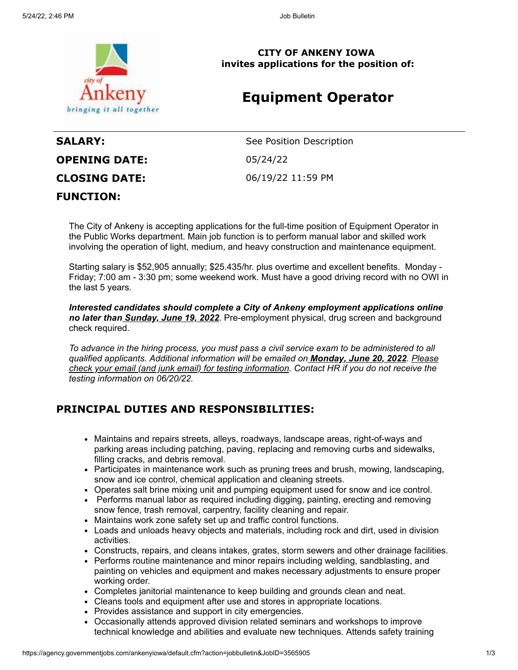

**CITY OF ANKENY IOWA invites applications for the position of:**

## **Equipment Operator**

# **OPENING DATE:** 05/24/22 **CLOSING DATE:** 06/19/22 11:59 PM **FUNCTION:**

**SALARY:** See Position Description

The City of Ankeny is accepting applications for the full-time position of Equipment Operator in the Public Works department. Main job function is to perform manual labor and skilled work involving the operation of light, medium, and heavy construction and maintenance equipment.

Starting salary is \$52,905 annually; \$25.435/hr. plus overtime and excellent benefits. Monday - Friday; 7:00 am - 3:30 pm; some weekend work. Must have a good driving record with no OWI in the last 5 years.

*Interested candidates should complete a City of Ankeny employment applications online no later than Sunday, June 19, 2022*. Pre-employment physical, drug screen and background check required.

*To advance in the hiring process, you must pass a civil service exam to be administered to all qualified applicants. Additional information will be emailed on Monday, June 20, 2022. Please check your email (and junk email) for testing information. Contact HR if you do not receive the testing information on 06/20/22.*

### **PRINCIPAL DUTIES AND RESPONSIBILITIES:**

- Maintains and repairs streets, alleys, roadways, landscape areas, right-of-ways and parking areas including patching, paving, replacing and removing curbs and sidewalks, filling cracks, and debris removal.
- Participates in maintenance work such as pruning trees and brush, mowing, landscaping, snow and ice control, chemical application and cleaning streets.
- Operates salt brine mixing unit and pumping equipment used for snow and ice control.
- Performs manual labor as required including digging, painting, erecting and removing snow fence, trash removal, carpentry, facility cleaning and repair.
- Maintains work zone safety set up and traffic control functions.
- Loads and unloads heavy objects and materials, including rock and dirt, used in division activities.
- Constructs, repairs, and cleans intakes, grates, storm sewers and other drainage facilities.
- Performs routine maintenance and minor repairs including welding, sandblasting, and painting on vehicles and equipment and makes necessary adjustments to ensure proper working order.
- Completes janitorial maintenance to keep building and grounds clean and neat.
- Cleans tools and equipment after use and stores in appropriate locations.
- Provides assistance and support in city emergencies.
- Occasionally attends approved division related seminars and workshops to improve technical knowledge and abilities and evaluate new techniques. Attends safety training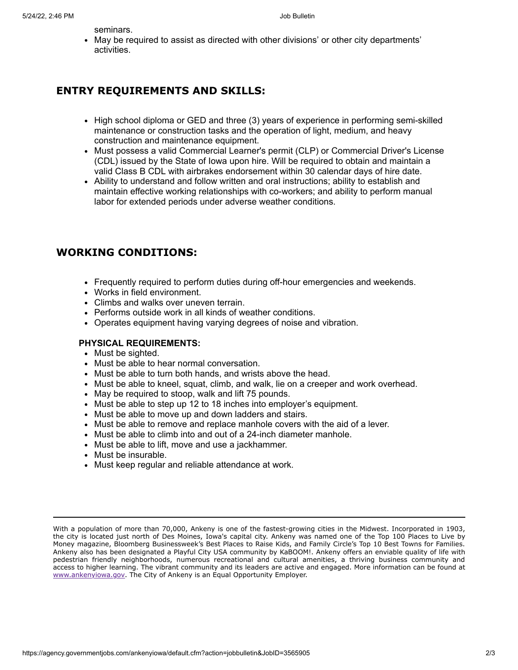seminars.

• May be required to assist as directed with other divisions' or other city departments' activities.

#### **ENTRY REQUIREMENTS AND SKILLS:**

- High school diploma or GED and three (3) years of experience in performing semi-skilled maintenance or construction tasks and the operation of light, medium, and heavy construction and maintenance equipment.
- Must possess a valid Commercial Learner's permit (CLP) or Commercial Driver's License (CDL) issued by the State of Iowa upon hire. Will be required to obtain and maintain a valid Class B CDL with airbrakes endorsement within 30 calendar days of hire date.
- Ability to understand and follow written and oral instructions; ability to establish and maintain effective working relationships with co-workers; and ability to perform manual labor for extended periods under adverse weather conditions.

### **WORKING CONDITIONS:**

- Frequently required to perform duties during off-hour emergencies and weekends.
- Works in field environment.
- Climbs and walks over uneven terrain.
- Performs outside work in all kinds of weather conditions.
- Operates equipment having varying degrees of noise and vibration.

#### **PHYSICAL REQUIREMENTS:**

- Must be sighted.
- Must be able to hear normal conversation.
- Must be able to turn both hands, and wrists above the head.
- Must be able to kneel, squat, climb, and walk, lie on a creeper and work overhead.
- May be required to stoop, walk and lift 75 pounds.
- Must be able to step up 12 to 18 inches into employer's equipment.
- Must be able to move up and down ladders and stairs.
- Must be able to remove and replace manhole covers with the aid of a lever.
- Must be able to climb into and out of a 24-inch diameter manhole.
- Must be able to lift, move and use a jackhammer.
- Must be insurable.
- Must keep regular and reliable attendance at work.

With a population of more than 70,000, Ankeny is one of the fastest-growing cities in the Midwest. Incorporated in 1903, the city is located just north of Des Moines, Iowa's capital city. Ankeny was named one of the Top 100 Places to Live by Money magazine, Bloomberg Businessweek's Best Places to Raise Kids, and Family Circle's Top 10 Best Towns for Families. Ankeny also has been designated a Playful City USA community by KaBOOM!. Ankeny offers an enviable quality of life with pedestrian friendly neighborhoods, numerous recreational and cultural amenities, a thriving business community and access to higher learning. The vibrant community and its leaders are active and engaged. More information can be found at [www.ankenyiowa.gov](http://www.ankenyiowa.gov/). The City of Ankeny is an Equal Opportunity Employer.